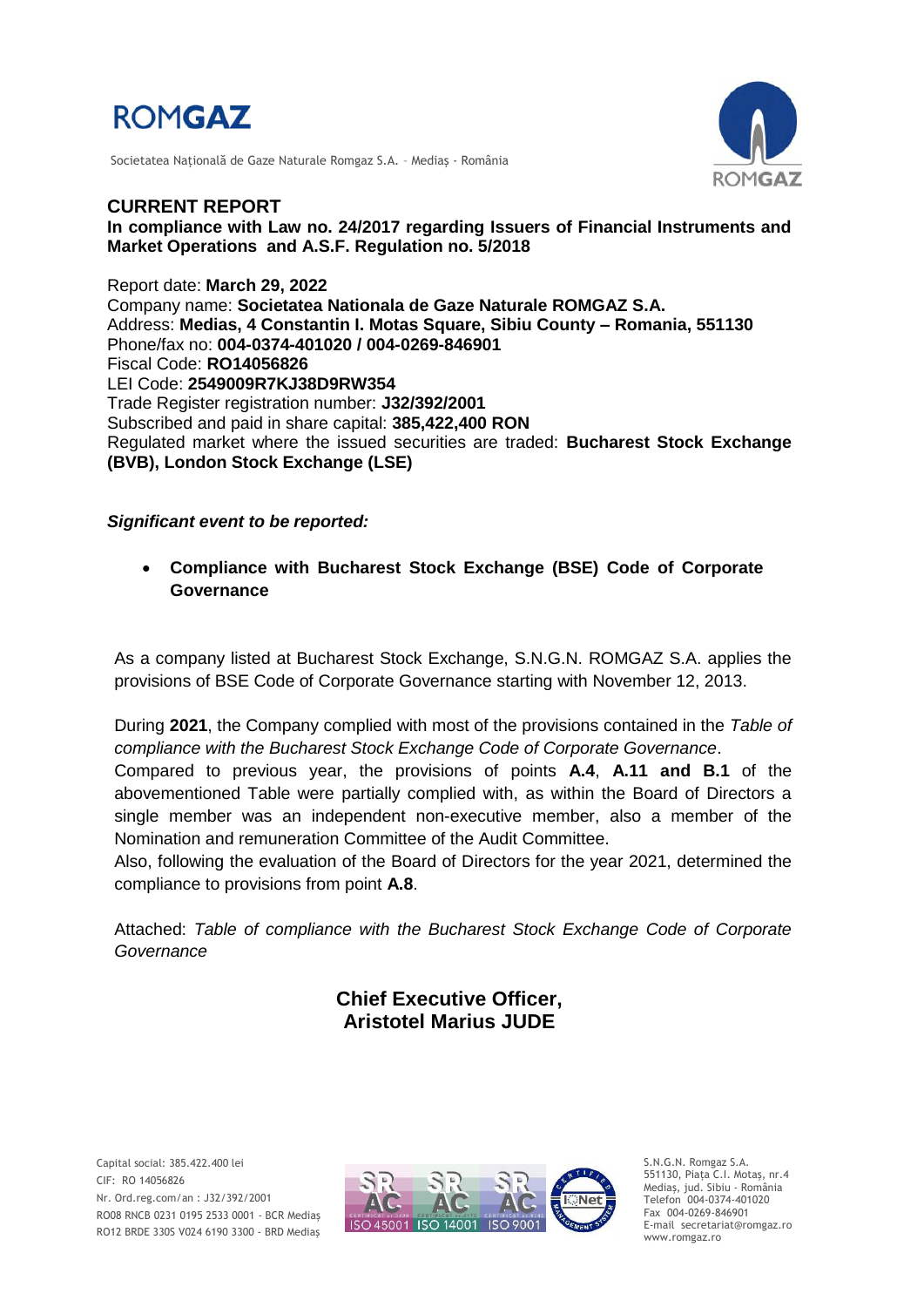

Societatea Naţională de Gaze Naturale Romgaz S.A. – Mediaş - România



**CURRENT REPORT In compliance with Law no. 24/2017 regarding Issuers of Financial Instruments and Market Operations and A.S.F. Regulation no. 5/2018**

Report date: **March 29, 2022** Company name: **Societatea Nationala de Gaze Naturale ROMGAZ S.A.** Address: **Medias, 4 Constantin I. Motas Square, Sibiu County – Romania, 551130** Phone/fax no: **004-0374-401020 / 004-0269-846901** Fiscal Code: **RO14056826** LEI Code: **2549009R7KJ38D9RW354** Trade Register registration number: **J32/392/2001** Subscribed and paid in share capital: **385,422,400 RON** Regulated market where the issued securities are traded: **Bucharest Stock Exchange (BVB), London Stock Exchange (LSE)**

## *Significant event to be reported:*

 **Compliance with Bucharest Stock Exchange (BSE) Code of Corporate Governance**

As a company listed at Bucharest Stock Exchange, S.N.G.N. ROMGAZ S.A. applies the provisions of BSE Code of Corporate Governance starting with November 12, 2013.

During **2021**, the Company complied with most of the provisions contained in the *Table of compliance with the Bucharest Stock Exchange Code of Corporate Governance*. Compared to previous year, the provisions of points **A.4**, **A.11 and B.1** of the abovementioned Table were partially complied with, as within the Board of Directors a single member was an independent non-executive member, also a member of the Nomination and remuneration Committee of the Audit Committee.

Also, following the evaluation of the Board of Directors for the year 2021, determined the compliance to provisions from point **A.8**.

Attached: *Table of compliance with the Bucharest Stock Exchange Code of Corporate Governance*

> **Chief Executive Officer, Aristotel Marius JUDE**



S.N.G.N. Romgaz S.A. 551130, Piața C.I. Motaş, nr.4 Mediaş, jud. Sibiu - România Telefon 004-0374-401020 Fax 004-0269-846901 E-mail secretariat@romgaz.ro www.romgaz.ro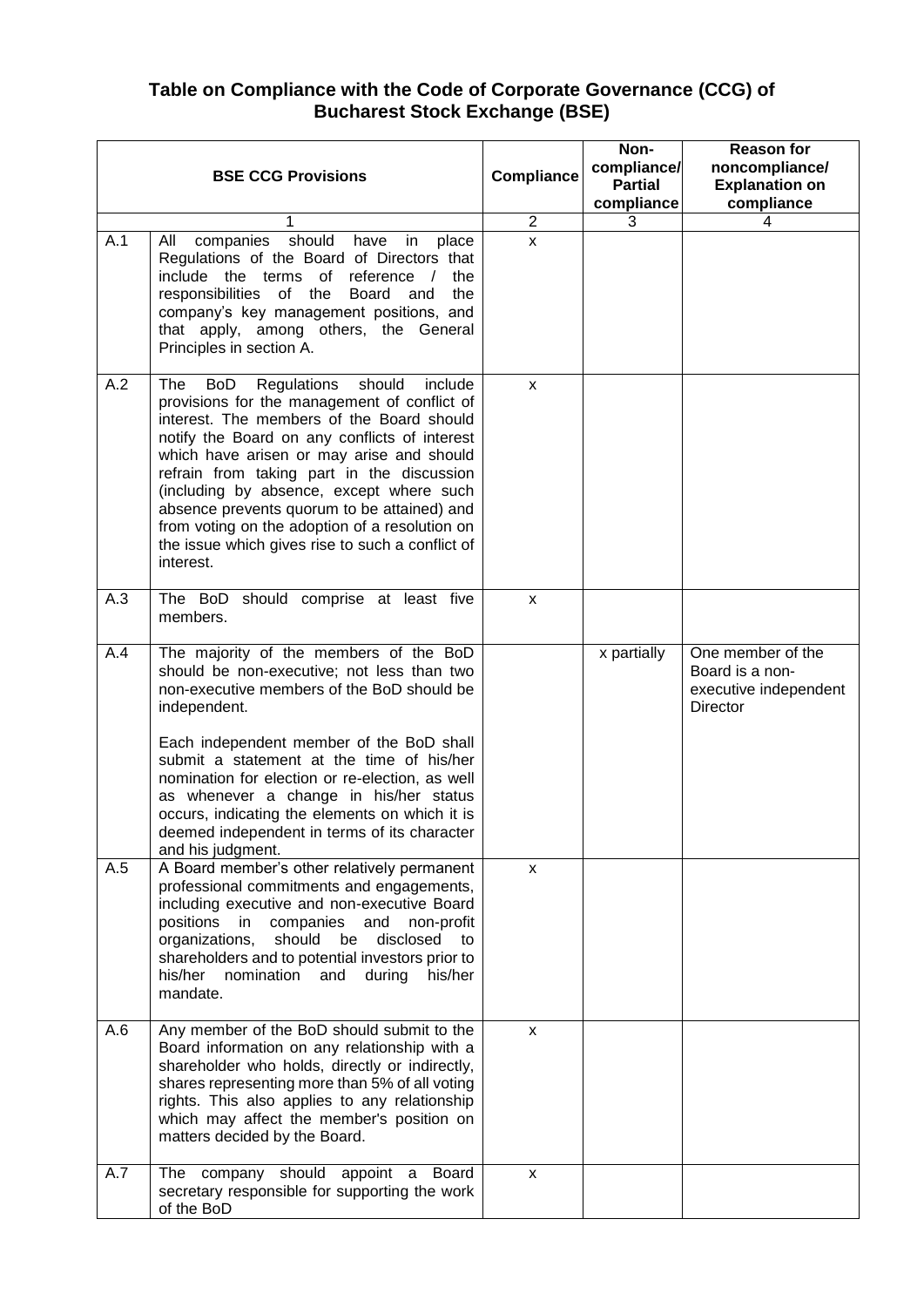## **Table on Compliance with the Code of Corporate Governance (CCG) of Bucharest Stock Exchange (BSE)**

| <b>BSE CCG Provisions</b> |                                                                                                                                                                                                                                                                                                                                                                                                                                                                                                              | Compliance     | Non-<br>compliance/<br><b>Partial</b><br>compliance | <b>Reason for</b><br>noncompliance/<br><b>Explanation on</b><br>compliance |
|---------------------------|--------------------------------------------------------------------------------------------------------------------------------------------------------------------------------------------------------------------------------------------------------------------------------------------------------------------------------------------------------------------------------------------------------------------------------------------------------------------------------------------------------------|----------------|-----------------------------------------------------|----------------------------------------------------------------------------|
|                           |                                                                                                                                                                                                                                                                                                                                                                                                                                                                                                              | $\overline{2}$ | 3                                                   | 4                                                                          |
| A.1                       | companies should have in<br>All<br>place<br>Regulations of the Board of Directors that<br>include the terms of reference /<br>the<br>responsibilities of the<br>Board and<br>the<br>company's key management positions, and<br>that apply, among others, the General<br>Principles in section A.                                                                                                                                                                                                             | $\mathsf{x}$   |                                                     |                                                                            |
| A.2                       | Regulations<br>should<br>include<br>The<br><b>BoD</b><br>provisions for the management of conflict of<br>interest. The members of the Board should<br>notify the Board on any conflicts of interest<br>which have arisen or may arise and should<br>refrain from taking part in the discussion<br>(including by absence, except where such<br>absence prevents quorum to be attained) and<br>from voting on the adoption of a resolution on<br>the issue which gives rise to such a conflict of<br>interest. | X              |                                                     |                                                                            |
| A.3                       | The BoD should comprise at least five<br>members.                                                                                                                                                                                                                                                                                                                                                                                                                                                            | X              |                                                     |                                                                            |
| A.4                       | The majority of the members of the BoD<br>should be non-executive; not less than two<br>non-executive members of the BoD should be<br>independent.<br>Each independent member of the BoD shall<br>submit a statement at the time of his/her                                                                                                                                                                                                                                                                  |                | x partially                                         | One member of the<br>Board is a non-<br>executive independent<br>Director  |
|                           | nomination for election or re-election, as well<br>as whenever a change in his/her status<br>occurs, indicating the elements on which it is<br>deemed independent in terms of its character<br>and his judgment.                                                                                                                                                                                                                                                                                             |                |                                                     |                                                                            |
| A.5                       | A Board member's other relatively permanent<br>professional commitments and engagements,<br>including executive and non-executive Board<br>positions in companies<br>and non-profit<br>organizations,<br>should be<br>disclosed<br>to<br>shareholders and to potential investors prior to<br>his/her nomination and during his/her<br>mandate.                                                                                                                                                               | X              |                                                     |                                                                            |
| A.6                       | Any member of the BoD should submit to the<br>Board information on any relationship with a<br>shareholder who holds, directly or indirectly,<br>shares representing more than 5% of all voting<br>rights. This also applies to any relationship<br>which may affect the member's position on<br>matters decided by the Board.                                                                                                                                                                                | $\mathsf{x}$   |                                                     |                                                                            |
| A.7                       | The company should appoint a<br>Board<br>secretary responsible for supporting the work<br>of the BoD                                                                                                                                                                                                                                                                                                                                                                                                         | X              |                                                     |                                                                            |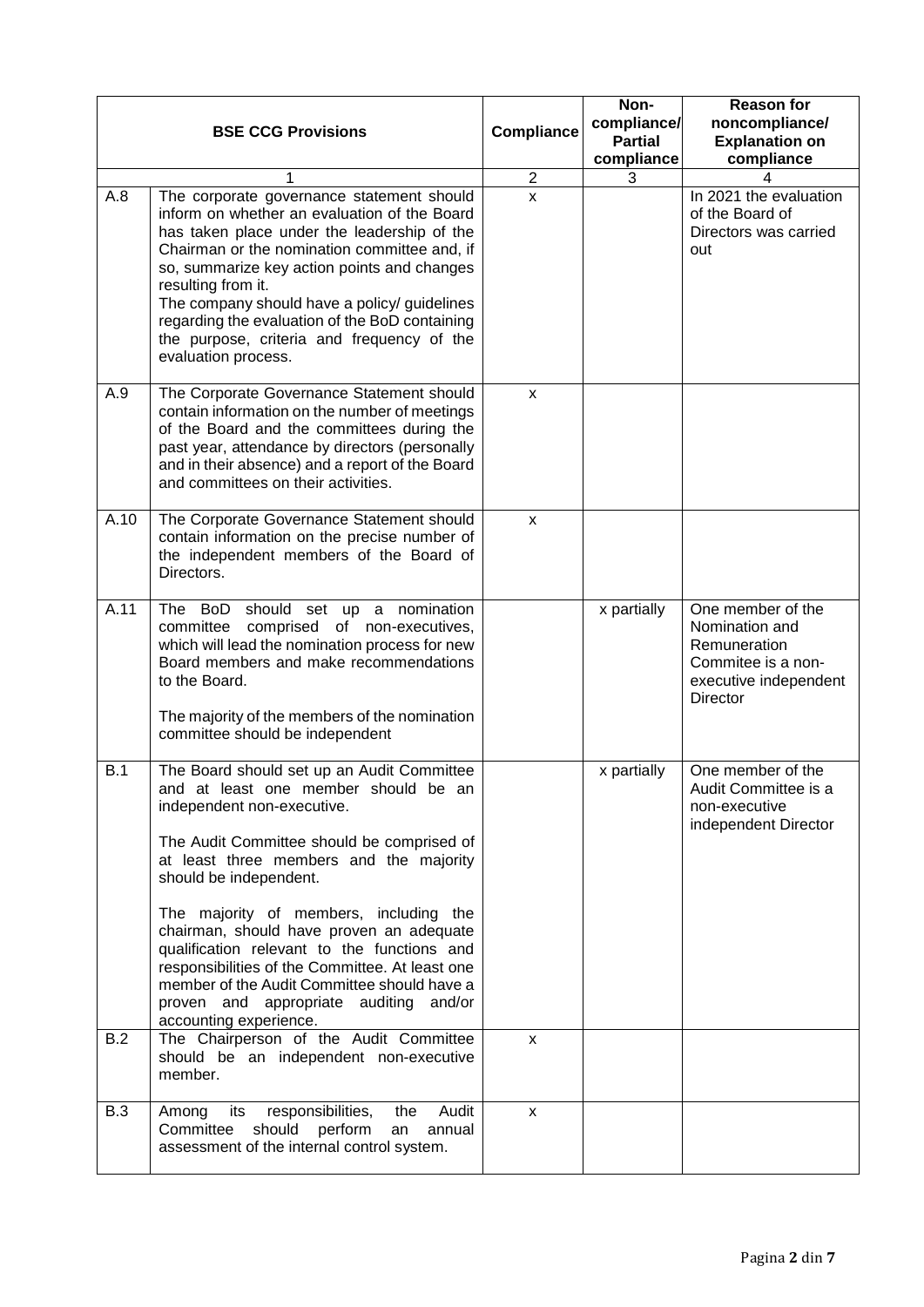| <b>BSE CCG Provisions</b> |                                                                                                                                                                                                                                                                                                                                                                                         | Compliance          | Non-<br>compliance/<br><b>Partial</b><br>compliance | <b>Reason for</b><br>noncompliance/<br><b>Explanation on</b><br>compliance                                            |
|---------------------------|-----------------------------------------------------------------------------------------------------------------------------------------------------------------------------------------------------------------------------------------------------------------------------------------------------------------------------------------------------------------------------------------|---------------------|-----------------------------------------------------|-----------------------------------------------------------------------------------------------------------------------|
| A.8                       | The corporate governance statement should                                                                                                                                                                                                                                                                                                                                               | $\overline{2}$<br>X | 3                                                   | In 2021 the evaluation                                                                                                |
|                           | inform on whether an evaluation of the Board<br>has taken place under the leadership of the<br>Chairman or the nomination committee and, if<br>so, summarize key action points and changes<br>resulting from it.<br>The company should have a policy/ guidelines<br>regarding the evaluation of the BoD containing<br>the purpose, criteria and frequency of the<br>evaluation process. |                     |                                                     | of the Board of<br>Directors was carried<br>out                                                                       |
| A.9                       | The Corporate Governance Statement should<br>contain information on the number of meetings<br>of the Board and the committees during the<br>past year, attendance by directors (personally<br>and in their absence) and a report of the Board<br>and committees on their activities.                                                                                                    | X                   |                                                     |                                                                                                                       |
| A.10                      | The Corporate Governance Statement should<br>contain information on the precise number of<br>the independent members of the Board of<br>Directors.                                                                                                                                                                                                                                      | X                   |                                                     |                                                                                                                       |
| A.11                      | The BoD should set up a nomination<br>comprised of non-executives,<br>committee<br>which will lead the nomination process for new<br>Board members and make recommendations<br>to the Board.<br>The majority of the members of the nomination<br>committee should be independent                                                                                                        |                     | x partially                                         | One member of the<br>Nomination and<br>Remuneration<br>Commitee is a non-<br>executive independent<br><b>Director</b> |
| B.1                       | The Board should set up an Audit Committee<br>and at least one member should be an<br>independent non-executive.<br>The Audit Committee should be comprised of<br>at least three members and the majority<br>should be independent.<br>The majority of members, including the                                                                                                           |                     | x partially                                         | One member of the<br>Audit Committee is a<br>non-executive<br>independent Director                                    |
|                           | chairman, should have proven an adequate<br>qualification relevant to the functions and<br>responsibilities of the Committee. At least one<br>member of the Audit Committee should have a<br>proven and appropriate auditing and/or<br>accounting experience.                                                                                                                           |                     |                                                     |                                                                                                                       |
| B.2                       | The Chairperson of the Audit Committee<br>should be an independent non-executive<br>member.                                                                                                                                                                                                                                                                                             | X                   |                                                     |                                                                                                                       |
| <b>B.3</b>                | responsibilities,<br>Audit<br>Among<br>its<br>the<br>Committee<br>should<br>perform<br>annual<br>an<br>assessment of the internal control system.                                                                                                                                                                                                                                       | X                   |                                                     |                                                                                                                       |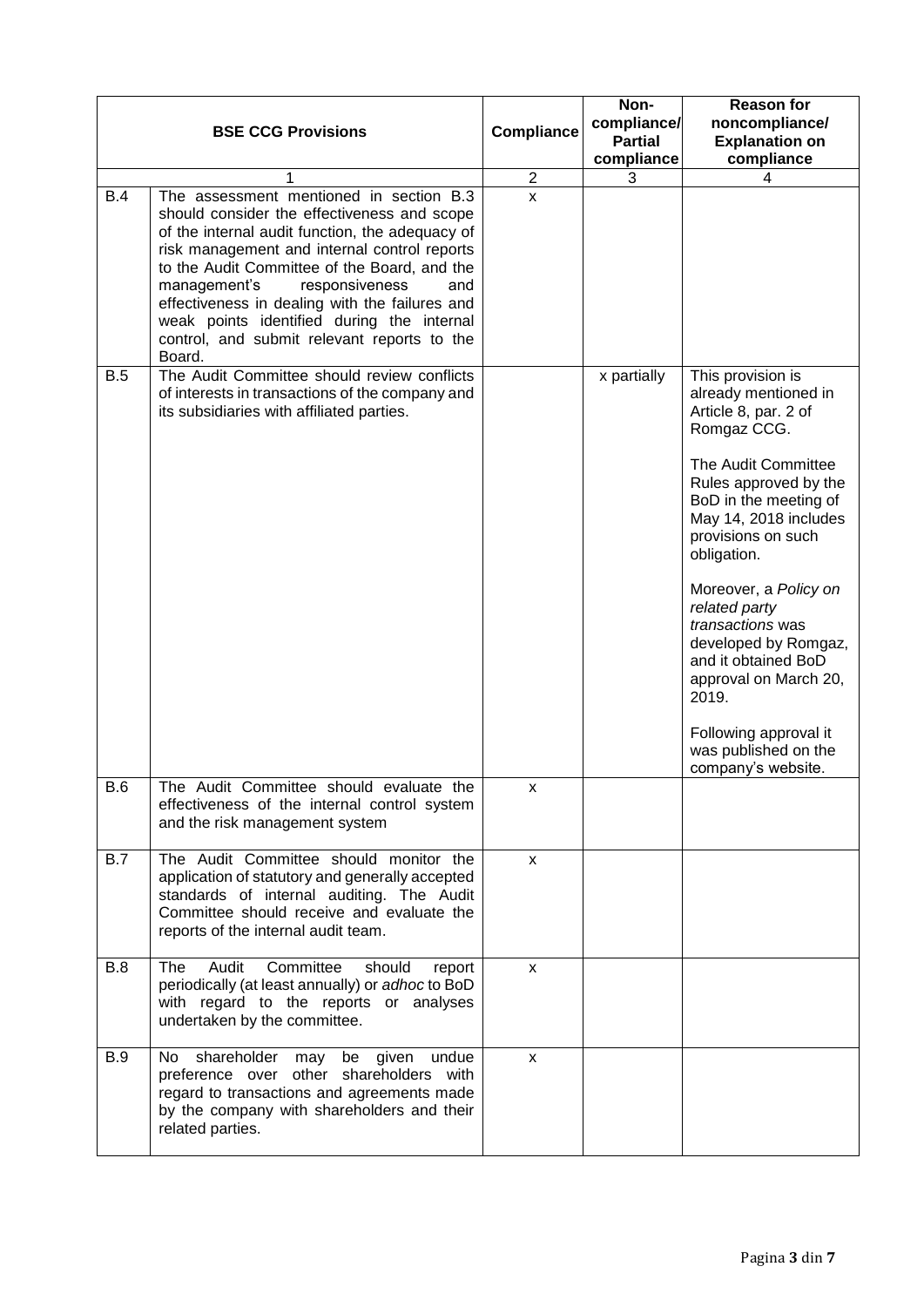| <b>BSE CCG Provisions</b> |                                                                                                                                                                                                                                                                                                                                                                                                                                             | Compliance     | Non-<br>compliance/<br><b>Partial</b><br>compliance | <b>Reason for</b><br>noncompliance/<br><b>Explanation on</b><br>compliance                                                                                                                                                                                                                                                                                                                                                                    |
|---------------------------|---------------------------------------------------------------------------------------------------------------------------------------------------------------------------------------------------------------------------------------------------------------------------------------------------------------------------------------------------------------------------------------------------------------------------------------------|----------------|-----------------------------------------------------|-----------------------------------------------------------------------------------------------------------------------------------------------------------------------------------------------------------------------------------------------------------------------------------------------------------------------------------------------------------------------------------------------------------------------------------------------|
|                           |                                                                                                                                                                                                                                                                                                                                                                                                                                             | $\overline{2}$ | 3                                                   | 4                                                                                                                                                                                                                                                                                                                                                                                                                                             |
| <b>B.4</b>                | The assessment mentioned in section B.3<br>should consider the effectiveness and scope<br>of the internal audit function, the adequacy of<br>risk management and internal control reports<br>to the Audit Committee of the Board, and the<br>management's<br>responsiveness<br>and<br>effectiveness in dealing with the failures and<br>weak points identified during the internal<br>control, and submit relevant reports to the<br>Board. | X              |                                                     |                                                                                                                                                                                                                                                                                                                                                                                                                                               |
| B.5                       | The Audit Committee should review conflicts<br>of interests in transactions of the company and<br>its subsidiaries with affiliated parties.                                                                                                                                                                                                                                                                                                 |                | x partially                                         | This provision is<br>already mentioned in<br>Article 8, par. 2 of<br>Romgaz CCG.<br>The Audit Committee<br>Rules approved by the<br>BoD in the meeting of<br>May 14, 2018 includes<br>provisions on such<br>obligation.<br>Moreover, a Policy on<br>related party<br>transactions was<br>developed by Romgaz,<br>and it obtained BoD<br>approval on March 20,<br>2019.<br>Following approval it<br>was published on the<br>company's website. |
| B.6                       | The Audit Committee should evaluate the<br>effectiveness of the internal control system<br>and the risk management system                                                                                                                                                                                                                                                                                                                   |                |                                                     |                                                                                                                                                                                                                                                                                                                                                                                                                                               |
| <b>B.7</b>                | The Audit Committee should monitor the<br>application of statutory and generally accepted<br>standards of internal auditing. The Audit<br>Committee should receive and evaluate the<br>reports of the internal audit team.                                                                                                                                                                                                                  | X              |                                                     |                                                                                                                                                                                                                                                                                                                                                                                                                                               |
| <b>B.8</b>                | Audit<br>Committee<br>should<br>The<br>report<br>periodically (at least annually) or adhoc to BoD<br>with regard to the reports or analyses<br>undertaken by the committee.                                                                                                                                                                                                                                                                 | X              |                                                     |                                                                                                                                                                                                                                                                                                                                                                                                                                               |
| <b>B.9</b>                | No shareholder may be given<br>undue<br>preference over other shareholders with<br>regard to transactions and agreements made<br>by the company with shareholders and their<br>related parties.                                                                                                                                                                                                                                             | X              |                                                     |                                                                                                                                                                                                                                                                                                                                                                                                                                               |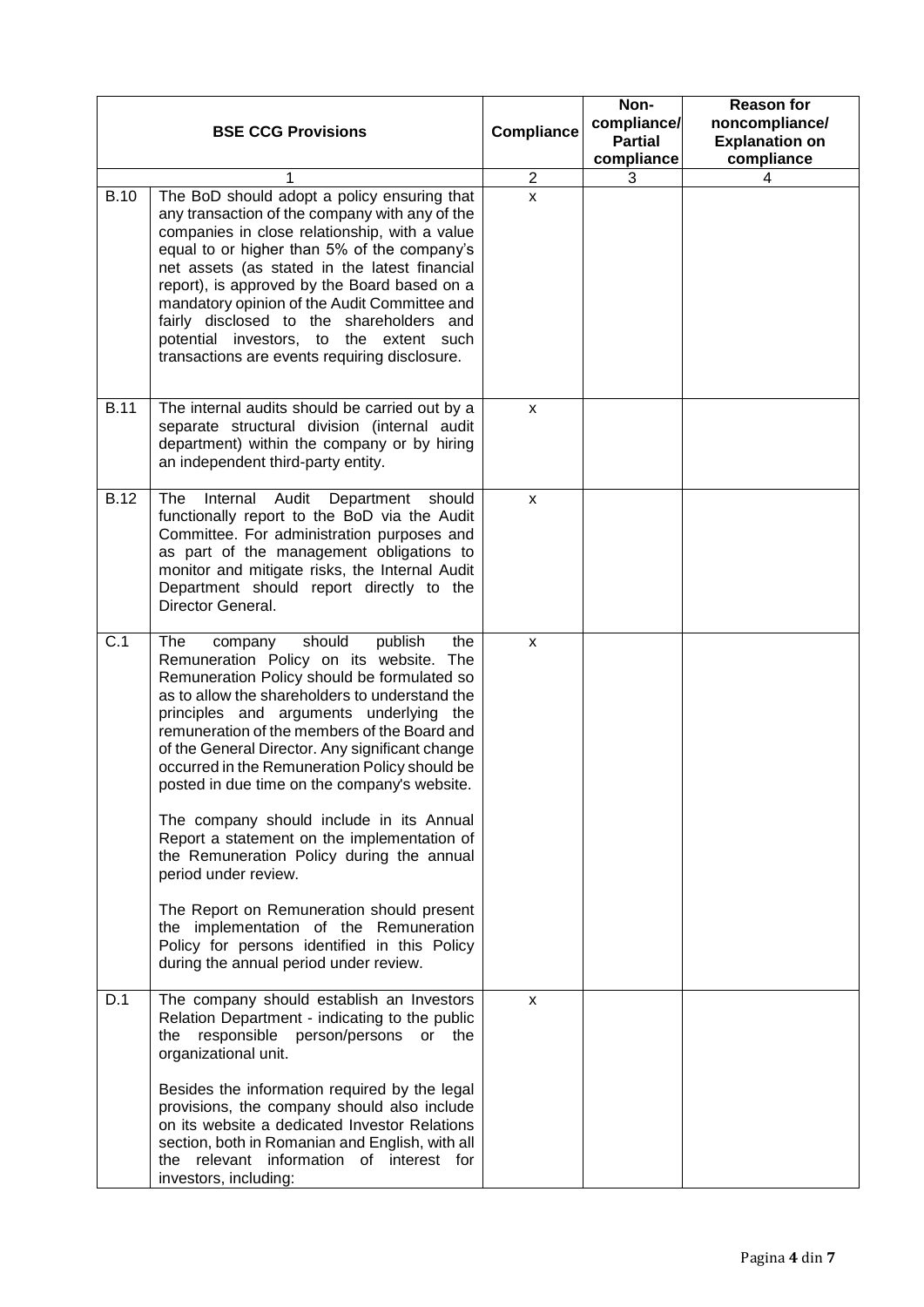| <b>BSE CCG Provisions</b> |                                                                                                                                                                                                                                                                                                                                                                                                                                                                                        | <b>Compliance</b>         | Non-<br>compliance/<br><b>Partial</b><br>compliance | <b>Reason for</b><br>noncompliance/<br><b>Explanation on</b><br>compliance |
|---------------------------|----------------------------------------------------------------------------------------------------------------------------------------------------------------------------------------------------------------------------------------------------------------------------------------------------------------------------------------------------------------------------------------------------------------------------------------------------------------------------------------|---------------------------|-----------------------------------------------------|----------------------------------------------------------------------------|
|                           |                                                                                                                                                                                                                                                                                                                                                                                                                                                                                        | $\overline{2}$            | 3                                                   | 4                                                                          |
| <b>B.10</b>               | The BoD should adopt a policy ensuring that<br>any transaction of the company with any of the<br>companies in close relationship, with a value<br>equal to or higher than 5% of the company's<br>net assets (as stated in the latest financial<br>report), is approved by the Board based on a<br>mandatory opinion of the Audit Committee and<br>fairly disclosed to the shareholders and<br>potential investors, to the extent such<br>transactions are events requiring disclosure. | X                         |                                                     |                                                                            |
| <b>B.11</b>               | The internal audits should be carried out by a<br>separate structural division (internal audit<br>department) within the company or by hiring<br>an independent third-party entity.                                                                                                                                                                                                                                                                                                    | X                         |                                                     |                                                                            |
| <b>B.12</b>               | Internal<br>Audit<br>The<br>Department should<br>functionally report to the BoD via the Audit<br>Committee. For administration purposes and<br>as part of the management obligations to<br>monitor and mitigate risks, the Internal Audit<br>Department should report directly to the<br>Director General.                                                                                                                                                                             | $\boldsymbol{\mathsf{x}}$ |                                                     |                                                                            |
| C.1                       | should<br>publish<br>The<br>the<br>company<br>Remuneration Policy on its website. The<br>Remuneration Policy should be formulated so<br>as to allow the shareholders to understand the<br>principles and arguments underlying the<br>remuneration of the members of the Board and<br>of the General Director. Any significant change<br>occurred in the Remuneration Policy should be<br>posted in due time on the company's website.                                                  | X                         |                                                     |                                                                            |
|                           | The company should include in its Annual<br>Report a statement on the implementation of<br>the Remuneration Policy during the annual<br>period under review.                                                                                                                                                                                                                                                                                                                           |                           |                                                     |                                                                            |
|                           | The Report on Remuneration should present<br>the implementation of the Remuneration<br>Policy for persons identified in this Policy<br>during the annual period under review.                                                                                                                                                                                                                                                                                                          |                           |                                                     |                                                                            |
| D.1                       | The company should establish an Investors<br>Relation Department - indicating to the public<br>the responsible person/persons or the<br>organizational unit.                                                                                                                                                                                                                                                                                                                           | X                         |                                                     |                                                                            |
|                           | Besides the information required by the legal<br>provisions, the company should also include<br>on its website a dedicated Investor Relations<br>section, both in Romanian and English, with all<br>the relevant information of interest for<br>investors, including:                                                                                                                                                                                                                  |                           |                                                     |                                                                            |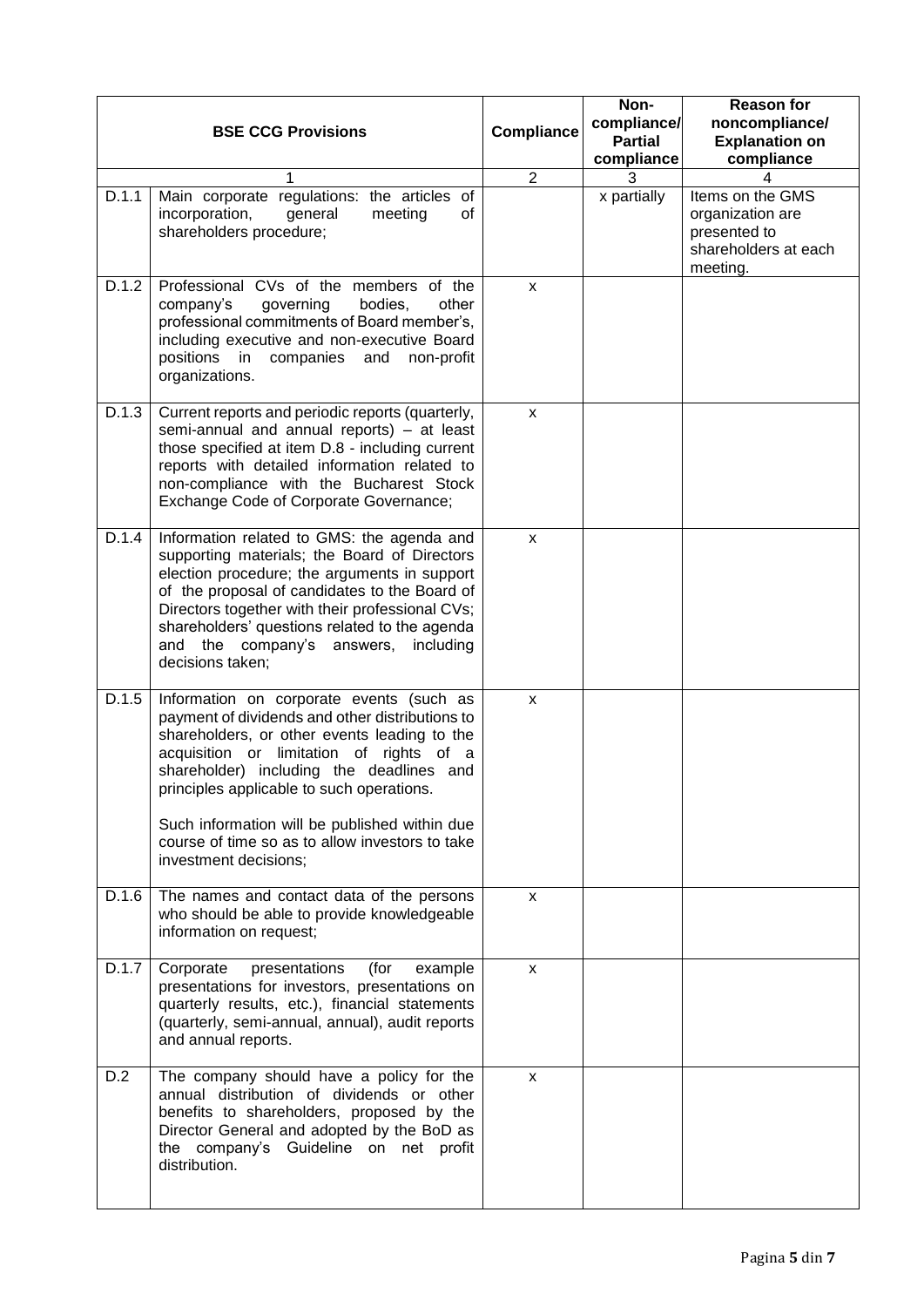| <b>BSE CCG Provisions</b> |                                                                                                                                                                                                                                                                                                                                                                                                               | Compliance     | Non-<br>compliance/<br><b>Partial</b><br>compliance | <b>Reason for</b><br>noncompliance/<br><b>Explanation on</b><br>compliance               |
|---------------------------|---------------------------------------------------------------------------------------------------------------------------------------------------------------------------------------------------------------------------------------------------------------------------------------------------------------------------------------------------------------------------------------------------------------|----------------|-----------------------------------------------------|------------------------------------------------------------------------------------------|
|                           |                                                                                                                                                                                                                                                                                                                                                                                                               | $\overline{2}$ | 3                                                   |                                                                                          |
| D.1.1                     | Main corporate regulations: the articles of<br>general<br>of<br>incorporation,<br>meeting<br>shareholders procedure;                                                                                                                                                                                                                                                                                          |                | x partially                                         | Items on the GMS<br>organization are<br>presented to<br>shareholders at each<br>meeting. |
| D.1.2                     | Professional CVs of the members of the<br>company's<br>governing<br>bodies,<br>other<br>professional commitments of Board member's,<br>including executive and non-executive Board<br>positions in companies and non-profit<br>organizations.                                                                                                                                                                 | X              |                                                     |                                                                                          |
| D.1.3                     | Current reports and periodic reports (quarterly,<br>semi-annual and annual reports) - at least<br>those specified at item D.8 - including current<br>reports with detailed information related to<br>non-compliance with the Bucharest Stock<br>Exchange Code of Corporate Governance;                                                                                                                        | X              |                                                     |                                                                                          |
| D.1.4                     | Information related to GMS: the agenda and<br>supporting materials; the Board of Directors<br>election procedure; the arguments in support<br>of the proposal of candidates to the Board of<br>Directors together with their professional CVs;<br>shareholders' questions related to the agenda<br>and the company's answers, including<br>decisions taken;                                                   | X              |                                                     |                                                                                          |
| D.1.5                     | Information on corporate events (such as<br>payment of dividends and other distributions to<br>shareholders, or other events leading to the<br>acquisition or limitation of rights of a<br>shareholder) including the deadlines and<br>principles applicable to such operations.<br>Such information will be published within due<br>course of time so as to allow investors to take<br>investment decisions; | X              |                                                     |                                                                                          |
| D.1.6                     | The names and contact data of the persons<br>who should be able to provide knowledgeable<br>information on request;                                                                                                                                                                                                                                                                                           | X              |                                                     |                                                                                          |
| D.1.7                     | Corporate<br>presentations<br>(for<br>example<br>presentations for investors, presentations on<br>quarterly results, etc.), financial statements<br>(quarterly, semi-annual, annual), audit reports<br>and annual reports.                                                                                                                                                                                    | X              |                                                     |                                                                                          |
| D.2                       | The company should have a policy for the<br>annual distribution of dividends or other<br>benefits to shareholders, proposed by the<br>Director General and adopted by the BoD as<br>the company's Guideline on net profit<br>distribution.                                                                                                                                                                    | $\mathsf{x}$   |                                                     |                                                                                          |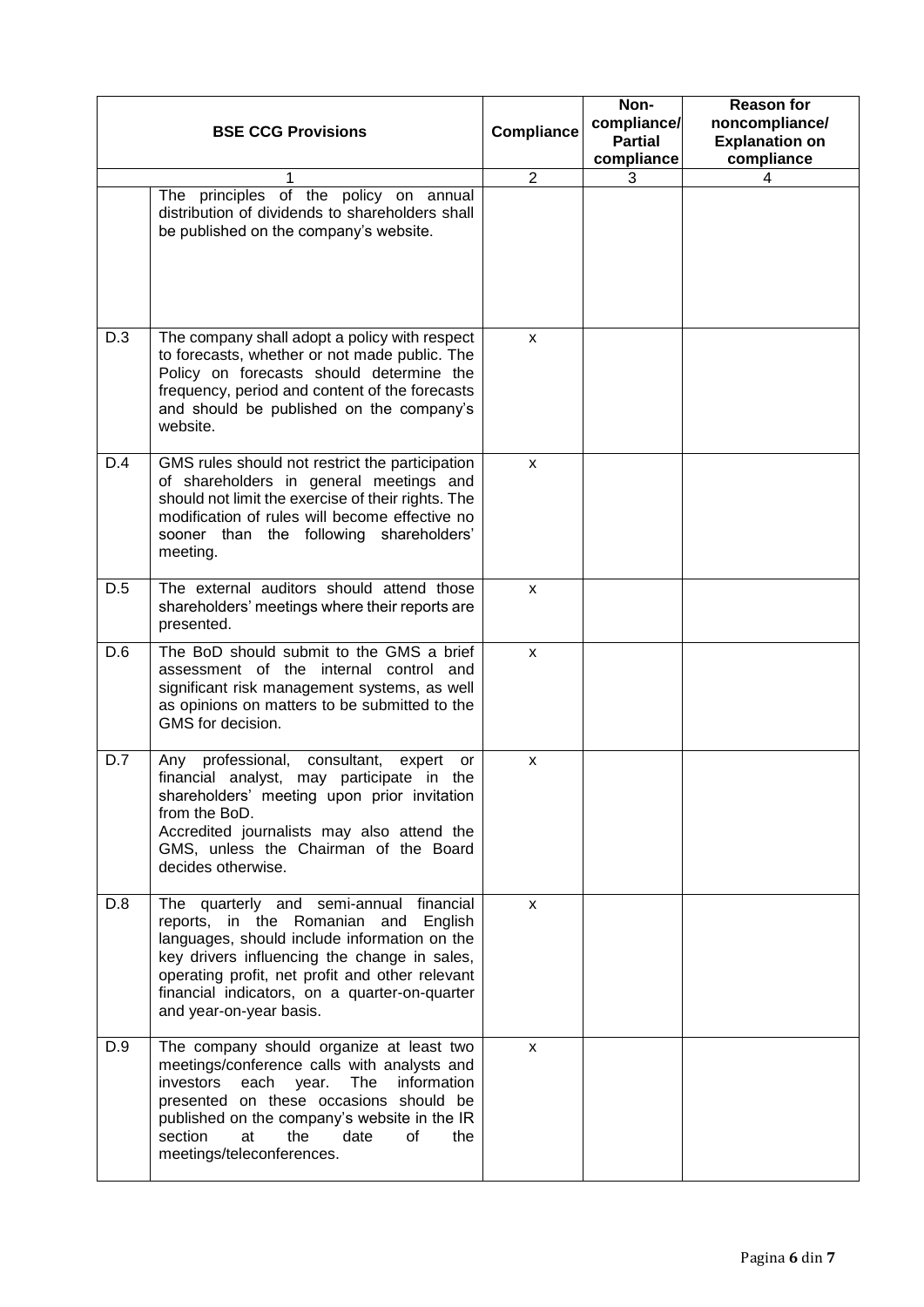| <b>BSE CCG Provisions</b> |                                                                                                                                                                                                                                                                                                                | Compliance     | Non-<br>compliance/<br><b>Partial</b><br>compliance | <b>Reason for</b><br>noncompliance/<br><b>Explanation on</b><br>compliance |
|---------------------------|----------------------------------------------------------------------------------------------------------------------------------------------------------------------------------------------------------------------------------------------------------------------------------------------------------------|----------------|-----------------------------------------------------|----------------------------------------------------------------------------|
|                           |                                                                                                                                                                                                                                                                                                                | $\overline{2}$ | 3                                                   | 4                                                                          |
|                           | The principles of the policy on annual<br>distribution of dividends to shareholders shall<br>be published on the company's website.                                                                                                                                                                            |                |                                                     |                                                                            |
| D.3                       | The company shall adopt a policy with respect<br>to forecasts, whether or not made public. The<br>Policy on forecasts should determine the<br>frequency, period and content of the forecasts<br>and should be published on the company's<br>website.                                                           | $\mathsf{x}$   |                                                     |                                                                            |
| D.4                       | GMS rules should not restrict the participation<br>of shareholders in general meetings and<br>should not limit the exercise of their rights. The<br>modification of rules will become effective no<br>sooner than the following shareholders'<br>meeting.                                                      | X              |                                                     |                                                                            |
| D.5                       | The external auditors should attend those<br>shareholders' meetings where their reports are<br>presented.                                                                                                                                                                                                      | X              |                                                     |                                                                            |
| D.6                       | The BoD should submit to the GMS a brief<br>assessment of the internal control and<br>significant risk management systems, as well<br>as opinions on matters to be submitted to the<br>GMS for decision.                                                                                                       | X              |                                                     |                                                                            |
| D.7                       | Any professional,<br>consultant,<br>expert<br>or<br>financial analyst, may participate in the<br>shareholders' meeting upon prior invitation<br>from the BoD.<br>Accredited journalists may also attend the<br>GMS, unless the Chairman of the Board<br>decides otherwise.                                     | х              |                                                     |                                                                            |
| D.8                       | The quarterly and semi-annual financial<br>reports, in the Romanian and English<br>languages, should include information on the<br>key drivers influencing the change in sales,<br>operating profit, net profit and other relevant<br>financial indicators, on a quarter-on-quarter<br>and year-on-year basis. | X              |                                                     |                                                                            |
| D.9                       | The company should organize at least two<br>meetings/conference calls with analysts and<br>The<br>investors<br>each year.<br>information<br>presented on these occasions should be<br>published on the company's website in the IR<br>section<br>the<br>date<br>at<br>οf<br>the<br>meetings/teleconferences.   | X              |                                                     |                                                                            |